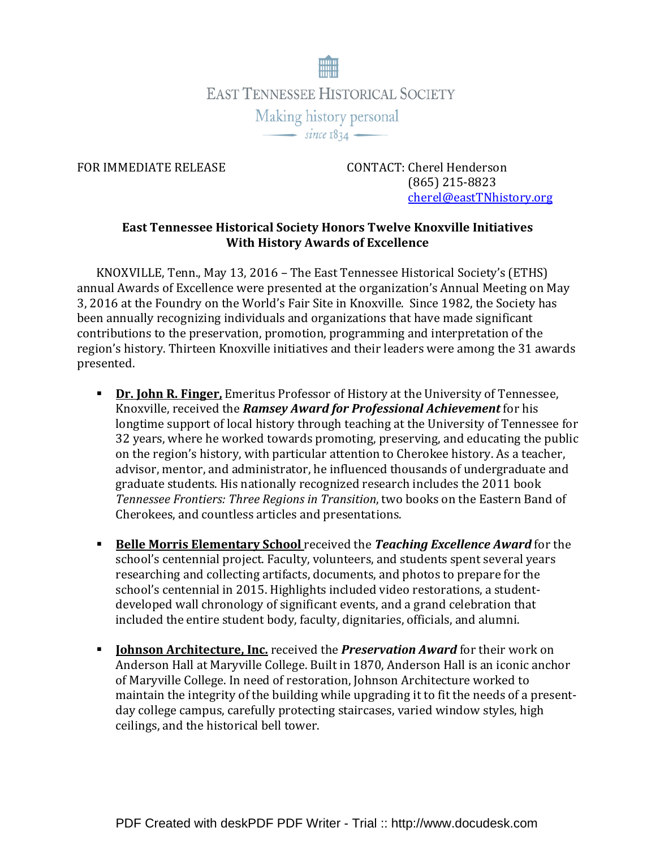

FOR IMMEDIATE RELEASE CONTACT: Cherel Henderson (865) 215-8823 cherel@eastTNhistory.org

## East Tennessee Historical Society Honors Twelve Knoxville Initiatives With History Awards of Excellence

KNOXVILLE, Tenn., May 13, 2016 – The East Tennessee Historical Society's (ETHS) annual Awards of Excellence were presented at the organization's Annual Meeting on May 3, 2016 at the Foundry on the World's Fair Site in Knoxville. Since 1982, the Society has been annually recognizing individuals and organizations that have made significant contributions to the preservation, promotion, programming and interpretation of the region's history. Thirteen Knoxville initiatives and their leaders were among the 31 awards presented.

- Dr. John R. Finger, Emeritus Professor of History at the University of Tennessee, Knoxville, received the Ramsey Award for Professional Achievement for his longtime support of local history through teaching at the University of Tennessee for 32 years, where he worked towards promoting, preserving, and educating the public on the region's history, with particular attention to Cherokee history. As a teacher, advisor, mentor, and administrator, he influenced thousands of undergraduate and graduate students. His nationally recognized research includes the 2011 book Tennessee Frontiers: Three Regions in Transition, two books on the Eastern Band of Cherokees, and countless articles and presentations.
- **Belle Morris Elementary School** received the Teaching Excellence Award for the school's centennial project. Faculty, volunteers, and students spent several years researching and collecting artifacts, documents, and photos to prepare for the school's centennial in 2015. Highlights included video restorations, a studentdeveloped wall chronology of significant events, and a grand celebration that included the entire student body, faculty, dignitaries, officials, and alumni.
- Iohnson Architecture, Inc. received the *Preservation Award* for their work on Anderson Hall at Maryville College. Built in 1870, Anderson Hall is an iconic anchor of Maryville College. In need of restoration, Johnson Architecture worked to maintain the integrity of the building while upgrading it to fit the needs of a presentday college campus, carefully protecting staircases, varied window styles, high ceilings, and the historical bell tower.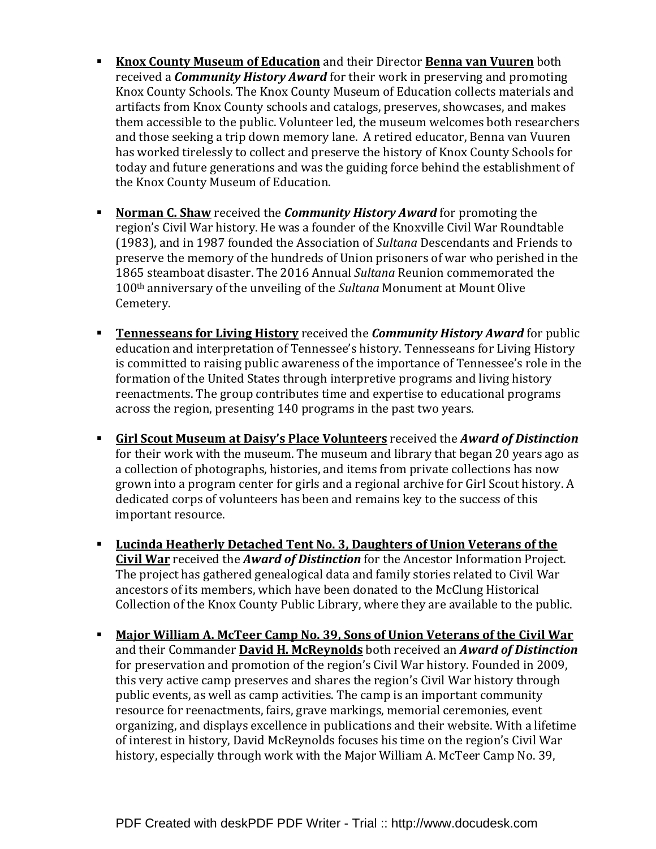- Knox County Museum of Education and their Director Benna van Vuuren both received a **Community History Award** for their work in preserving and promoting Knox County Schools. The Knox County Museum of Education collects materials and artifacts from Knox County schools and catalogs, preserves, showcases, and makes them accessible to the public. Volunteer led, the museum welcomes both researchers and those seeking a trip down memory lane. A retired educator, Benna van Vuuren has worked tirelessly to collect and preserve the history of Knox County Schools for today and future generations and was the guiding force behind the establishment of the Knox County Museum of Education.
- **Norman C. Shaw** received the *Community History Award* for promoting the region's Civil War history. He was a founder of the Knoxville Civil War Roundtable (1983), and in 1987 founded the Association of Sultana Descendants and Friends to preserve the memory of the hundreds of Union prisoners of war who perished in the 1865 steamboat disaster. The 2016 Annual Sultana Reunion commemorated the 100th anniversary of the unveiling of the Sultana Monument at Mount Olive Cemetery.
- **Tennesseans for Living History** received the *Community History Award* for public education and interpretation of Tennessee's history. Tennesseans for Living History is committed to raising public awareness of the importance of Tennessee's role in the formation of the United States through interpretive programs and living history reenactments. The group contributes time and expertise to educational programs across the region, presenting 140 programs in the past two years.
- Girl Scout Museum at Daisy's Place Volunteers received the Award of Distinction for their work with the museum. The museum and library that began 20 years ago as a collection of photographs, histories, and items from private collections has now grown into a program center for girls and a regional archive for Girl Scout history. A dedicated corps of volunteers has been and remains key to the success of this important resource.
- **Lucinda Heatherly Detached Tent No. 3, Daughters of Union Veterans of the** Civil War received the *Award of Distinction* for the Ancestor Information Project. The project has gathered genealogical data and family stories related to Civil War ancestors of its members, which have been donated to the McClung Historical Collection of the Knox County Public Library, where they are available to the public.
- **Major William A. McTeer Camp No. 39, Sons of Union Veterans of the Civil War** and their Commander David H. McReynolds both received an Award of Distinction for preservation and promotion of the region's Civil War history. Founded in 2009, this very active camp preserves and shares the region's Civil War history through public events, as well as camp activities. The camp is an important community resource for reenactments, fairs, grave markings, memorial ceremonies, event organizing, and displays excellence in publications and their website. With a lifetime of interest in history, David McReynolds focuses his time on the region's Civil War history, especially through work with the Major William A. McTeer Camp No. 39,